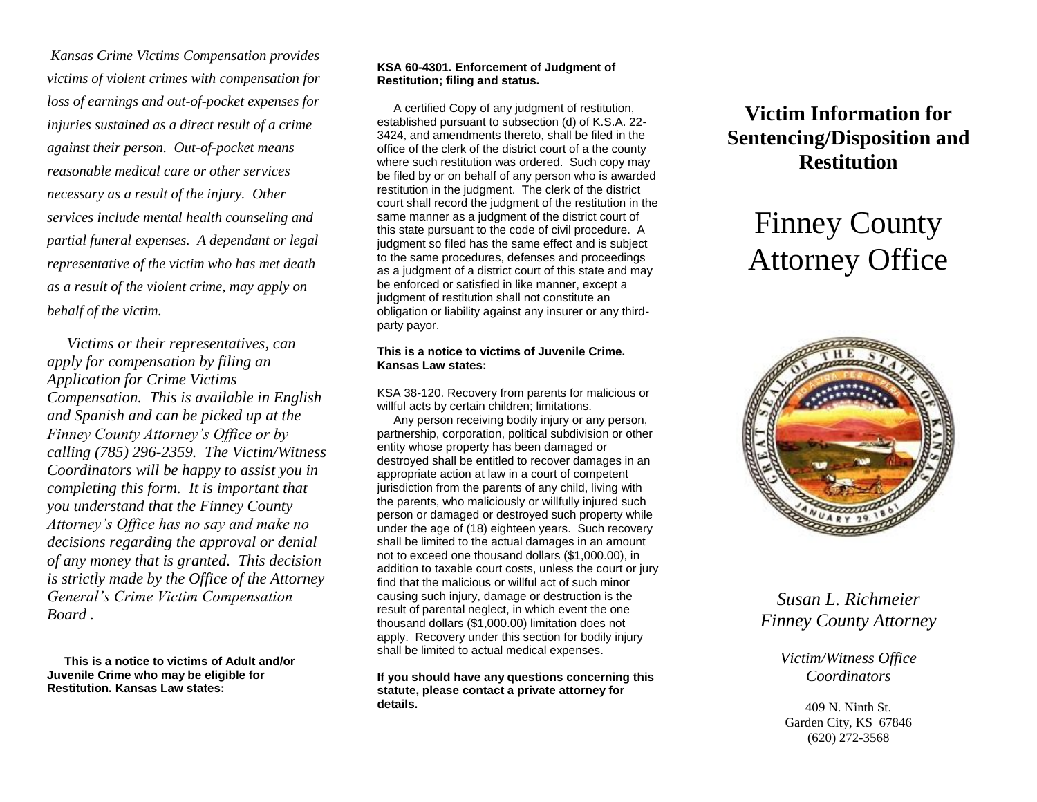*Kansas Crime Victims Compensation provides victims of violent crimes with compensation for loss of earnings and out-of-pocket expenses for injuries sustained as a direct result of a crime against their person. Out-of-pocket means reasonable medical care or other services necessary as a result of the injury. Other services include mental health counseling and partial funeral expenses. A dependant or legal representative of the victim who has met death as a result of the violent crime, may apply on behalf of the victim.* 

 *Victims or their representatives, can apply for compensation by filing an Application for Crime Victims Compensation. This is available in English and Spanish and can be picked up at the Finney County Attorney's Office or by calling (785) 296-2359. The Victim/Witness Coordinators will be happy to assist you in completing this form. It is important that you understand that the Finney County Attorney's Office has no say and make no decisions regarding the approval or denial of any money that is granted. This decision is strictly made by the Office of the Attorney General's Crime Victim Compensation Board .* 

**This is a notice to victims of Adult and/or Juvenile Crime who may be eligible for Restitution. Kansas Law states:**

### **KSA 60-4301. Enforcement of Judgment of Restitution; filing and status.**

 A certified Copy of any judgment of restitution, established pursuant to subsection (d) of K.S.A. 22- 3424, and amendments thereto, shall be filed in the office of the clerk of the district court of a the county where such restitution was ordered. Such copy may be filed by or on behalf of any person who is awarded restitution in the judgment. The clerk of the district court shall record the judgment of the restitution in the same manner as a judgment of the district court of this state pursuant to the code of civil procedure. A judgment so filed has the same effect and is subject to the same procedures, defenses and proceedings as a judgment of a district court of this state and may be enforced or satisfied in like manner, except a judgment of restitution shall not constitute an obligation or liability against any insurer or any thirdparty payor.

#### **This is a notice to victims of Juvenile Crime. Kansas Law states:**

KSA 38-120. Recovery from parents for malicious or willful acts by certain children; limitations.

 Any person receiving bodily injury or any person, partnership, corporation, political subdivision or other entity whose property has been damaged or destroyed shall be entitled to recover damages in an appropriate action at law in a court of competent jurisdiction from the parents of any child, living with the parents, who maliciously or willfully injured such person or damaged or destroyed such property while under the age of (18) eighteen years. Such recovery shall be limited to the actual damages in an amount not to exceed one thousand dollars (\$1,000.00), in addition to taxable court costs, unless the court or jury find that the malicious or willful act of such minor causing such injury, damage or destruction is the result of parental neglect, in which event the one thousand dollars (\$1,000.00) limitation does not apply. Recovery under this section for bodily injury shall be limited to actual medical expenses.

**If you should have any questions concerning this statute, please contact a private attorney for details.**

## **Victim Information for Sentencing/Disposition and Restitution**

# Finney County Attorney Office



*Susan L. Richmeier Finney County Attorney*

> *Victim/Witness Office Coordinators*

409 N. Ninth St. Garden City, KS 67846 (620) 272-3568